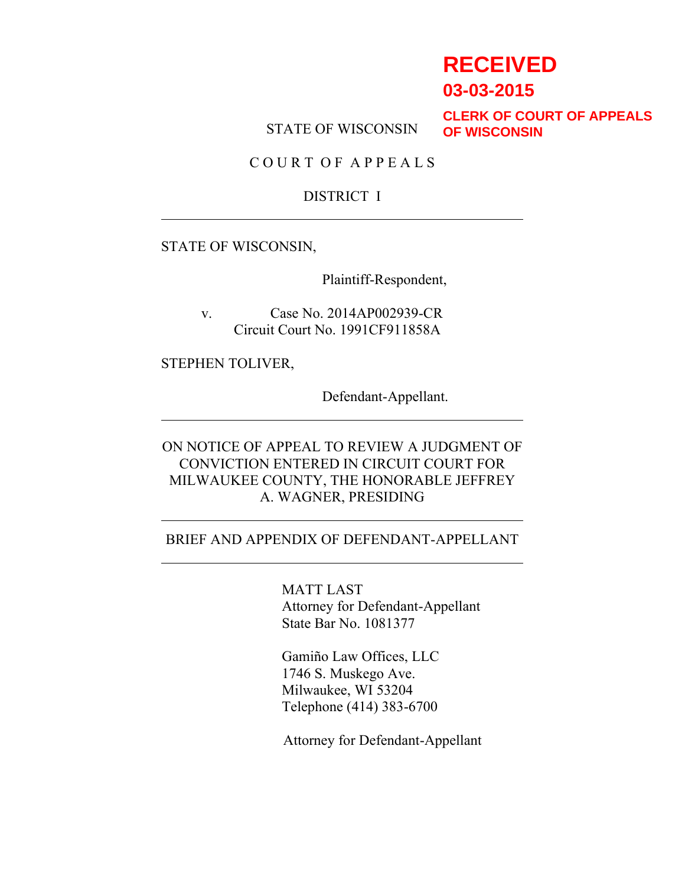# **RECEIVED**

**03-03-2015**

STATE OF WISCONSIN

**CLERK OF COURT OF APPEALS OF WISCONSIN**

C O U R T O F A P P E A L S

#### DISTRICT I

STATE OF WISCONSIN,

Plaintiff-Respondent,

v. Case No. 2014AP002939-CR Circuit Court No. 1991CF911858A

STEPHEN TOLIVER,

Defendant-Appellant.

ON NOTICE OF APPEAL TO REVIEW A JUDGMENT OF CONVICTION ENTERED IN CIRCUIT COURT FOR MILWAUKEE COUNTY, THE HONORABLE JEFFREY A. WAGNER, PRESIDING

#### BRIEF AND APPENDIX OF DEFENDANT-APPELLANT

MATT LAST Attorney for Defendant-Appellant State Bar No. 1081377

Gamiño Law Offices, LLC 1746 S. Muskego Ave. Milwaukee, WI 53204 Telephone (414) 383-6700

Attorney for Defendant-Appellant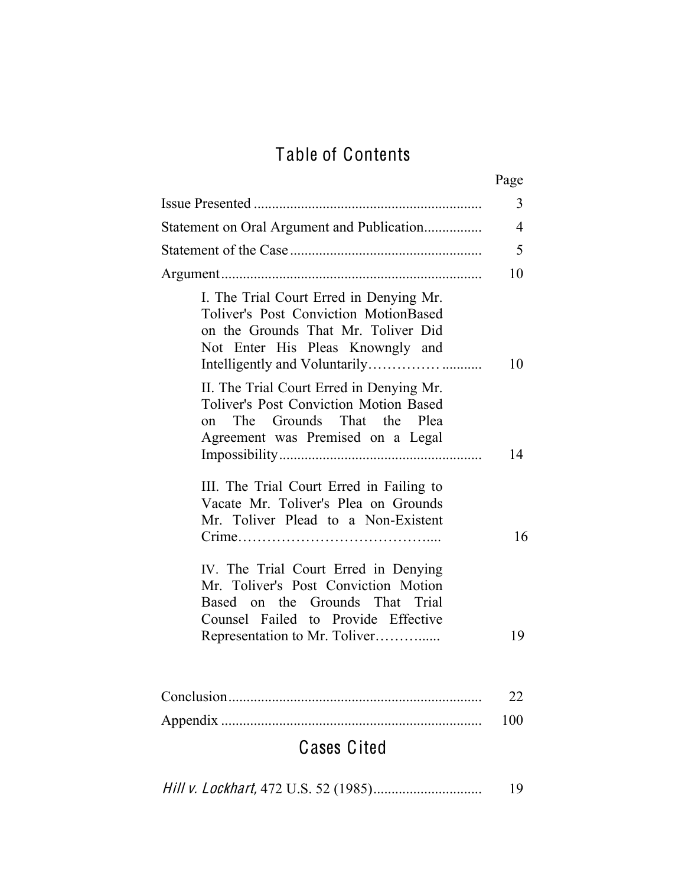# Table of Contents

|                                                                                                                                                                                         | Page           |  |
|-----------------------------------------------------------------------------------------------------------------------------------------------------------------------------------------|----------------|--|
|                                                                                                                                                                                         | 3              |  |
| Statement on Oral Argument and Publication                                                                                                                                              | $\overline{4}$ |  |
|                                                                                                                                                                                         | 5              |  |
|                                                                                                                                                                                         | 10             |  |
| I. The Trial Court Erred in Denying Mr.<br><b>Toliver's Post Conviction MotionBased</b><br>on the Grounds That Mr. Toliver Did<br>Not Enter His Pleas Knowngly and                      | 10             |  |
| II. The Trial Court Erred in Denying Mr.<br><b>Toliver's Post Conviction Motion Based</b><br>on The Grounds That the Plea<br>Agreement was Premised on a Legal                          | 14             |  |
| III. The Trial Court Erred in Failing to<br>Vacate Mr. Toliver's Plea on Grounds<br>Mr. Toliver Plead to a Non-Existent                                                                 | 16             |  |
| IV. The Trial Court Erred in Denying<br>Mr. Toliver's Post Conviction Motion<br>Based on the Grounds That Trial<br>Counsel Failed to Provide Effective<br>Representation to Mr. Toliver | 19             |  |
|                                                                                                                                                                                         | 22             |  |
| 100<br><b>Cases Cited</b>                                                                                                                                                               |                |  |

|--|--|--|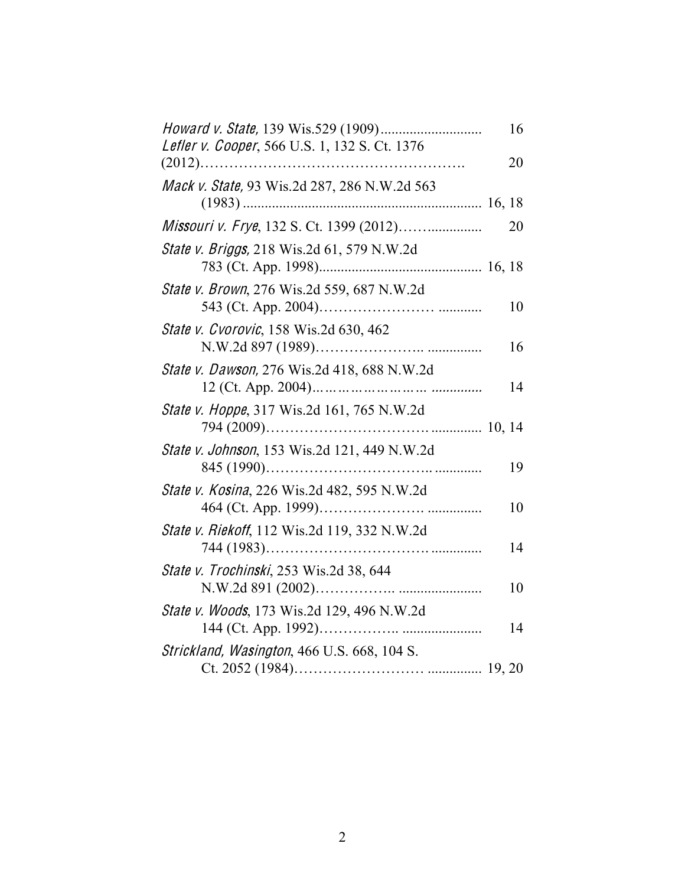| Lefler v. Cooper, 566 U.S. 1, 132 S. Ct. 1376      | 16 |
|----------------------------------------------------|----|
| $(2012)$                                           | 20 |
| Mack v. State, 93 Wis.2d 287, 286 N.W.2d 563       |    |
| Missouri v. Frye, 132 S. Ct. 1399 (2012)           | 20 |
| <i>State v. Briggs,</i> 218 Wis.2d 61, 579 N.W.2d  |    |
| State v. Brown, 276 Wis.2d 559, 687 N.W.2d         | 10 |
| State v. Cvorovic, 158 Wis.2d 630, 462             | 16 |
| State v. Dawson, 276 Wis.2d 418, 688 N.W.2d        | 14 |
| <i>State v. Hoppe</i> , 317 Wis.2d 161, 765 N.W.2d |    |
| State v. Johnson, 153 Wis.2d 121, 449 N.W.2d       | 19 |
| State v. Kosina, 226 Wis.2d 482, 595 N.W.2d        | 10 |
| State v. Riekoff, 112 Wis.2d 119, 332 N.W.2d       | 14 |
| State v. Trochinski, 253 Wis.2d 38, 644            | 10 |
| State v. Woods, 173 Wis.2d 129, 496 N.W.2d         | 14 |
| Strickland, Wasington, 466 U.S. 668, 104 S.        |    |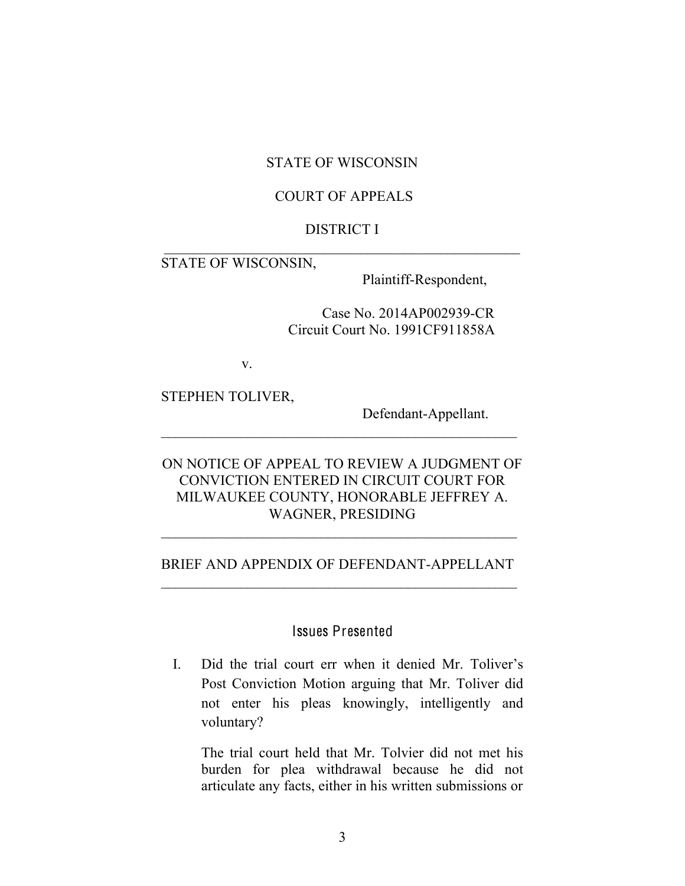#### STATE OF WISCONSIN

#### COURT OF APPEALS

#### DISTRICT I  $\overline{\phantom{a}}$  , which is a set of the set of the set of the set of the set of the set of the set of the set of the set of the set of the set of the set of the set of the set of the set of the set of the set of the set of th

#### STATE OF WISCONSIN,

Plaintiff-Respondent,

Case No. 2014AP002939-CR Circuit Court No. 1991CF911858A

v.

STEPHEN TOLIVER,

Defendant-Appellant.

### ON NOTICE OF APPEAL TO REVIEW A JUDGMENT OF CONVICTION ENTERED IN CIRCUIT COURT FOR MILWAUKEE COUNTY, HONORABLE JEFFREY A. WAGNER, PRESIDING

 $\mathcal{L}_\text{max} = \mathcal{L}_\text{max} = \mathcal{L}_\text{max} = \mathcal{L}_\text{max} = \mathcal{L}_\text{max} = \mathcal{L}_\text{max} = \mathcal{L}_\text{max} = \mathcal{L}_\text{max} = \mathcal{L}_\text{max} = \mathcal{L}_\text{max} = \mathcal{L}_\text{max} = \mathcal{L}_\text{max} = \mathcal{L}_\text{max} = \mathcal{L}_\text{max} = \mathcal{L}_\text{max} = \mathcal{L}_\text{max} = \mathcal{L}_\text{max} = \mathcal{L}_\text{max} = \mathcal{$ 

#### BRIEF AND APPENDIX OF DEFENDANT-APPELLANT

 $\mathcal{L}_\text{max}$  and  $\mathcal{L}_\text{max}$  and  $\mathcal{L}_\text{max}$  and  $\mathcal{L}_\text{max}$ 

#### Issues Presented

I. Did the trial court err when it denied Mr. Toliver's Post Conviction Motion arguing that Mr. Toliver did not enter his pleas knowingly, intelligently and voluntary?

The trial court held that Mr. Tolvier did not met his burden for plea withdrawal because he did not articulate any facts, either in his written submissions or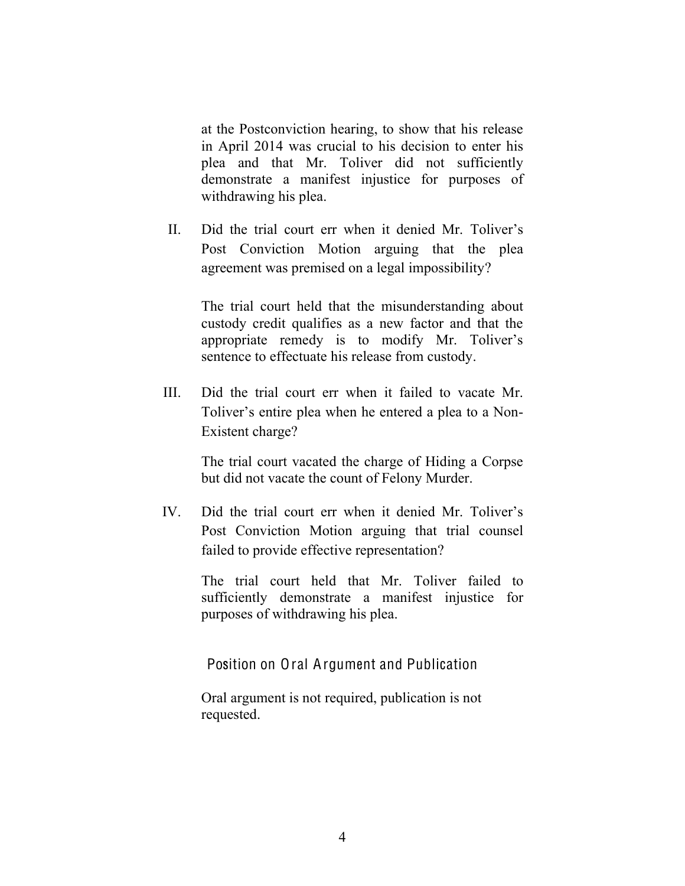at the Postconviction hearing, to show that his release in April 2014 was crucial to his decision to enter his plea and that Mr. Toliver did not sufficiently demonstrate a manifest injustice for purposes of withdrawing his plea.

II. Did the trial court err when it denied Mr. Toliver's Post Conviction Motion arguing that the plea agreement was premised on a legal impossibility?

The trial court held that the misunderstanding about custody credit qualifies as a new factor and that the appropriate remedy is to modify Mr. Toliver's sentence to effectuate his release from custody.

III. Did the trial court err when it failed to vacate Mr. Toliver's entire plea when he entered a plea to a Non-Existent charge?

> The trial court vacated the charge of Hiding a Corpse but did not vacate the count of Felony Murder.

IV. Did the trial court err when it denied Mr. Toliver's Post Conviction Motion arguing that trial counsel failed to provide effective representation?

> The trial court held that Mr. Toliver failed to sufficiently demonstrate a manifest injustice for purposes of withdrawing his plea.

Position on Oral Argument and Publication

Oral argument is not required, publication is not requested.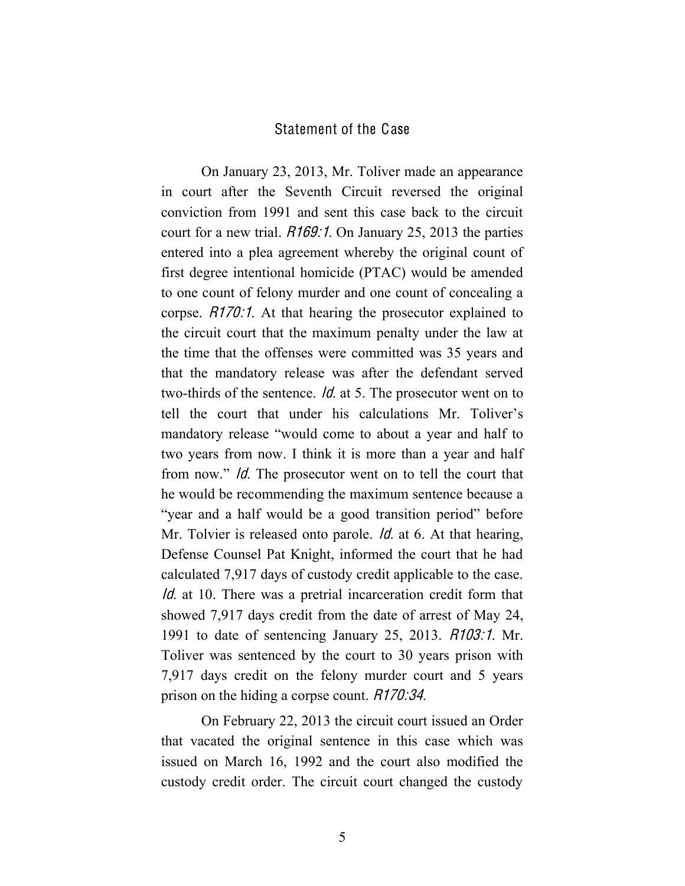#### Statement of the Case

On January 23, 2013, Mr. Toliver made an appearance in court after the Seventh Circuit reversed the original conviction from 1991 and sent this case back to the circuit court for a new trial. *R169:1*. On January 25, 2013 the parties entered into a plea agreement whereby the original count of first degree intentional homicide (PTAC) would be amended to one count of felony murder and one count of concealing a corpse. R170:1. At that hearing the prosecutor explained to the circuit court that the maximum penalty under the law at the time that the offenses were committed was 35 years and that the mandatory release was after the defendant served two-thirds of the sentence. Id. at 5. The prosecutor went on to tell the court that under his calculations Mr. Toliver's mandatory release "would come to about a year and half to two years from now. I think it is more than a year and half from now." Id. The prosecutor went on to tell the court that he would be recommending the maximum sentence because a "year and a half would be a good transition period" before Mr. Tolvier is released onto parole. *Id.* at 6. At that hearing, Defense Counsel Pat Knight, informed the court that he had calculated 7,917 days of custody credit applicable to the case. Id. at 10. There was a pretrial incarceration credit form that showed 7,917 days credit from the date of arrest of May 24, 1991 to date of sentencing January 25, 2013. R103:1. Mr. Toliver was sentenced by the court to 30 years prison with 7,917 days credit on the felony murder court and 5 years prison on the hiding a corpse count. *R170:34*.

On February 22, 2013 the circuit court issued an Order that vacated the original sentence in this case which was issued on March 16, 1992 and the court also modified the custody credit order. The circuit court changed the custody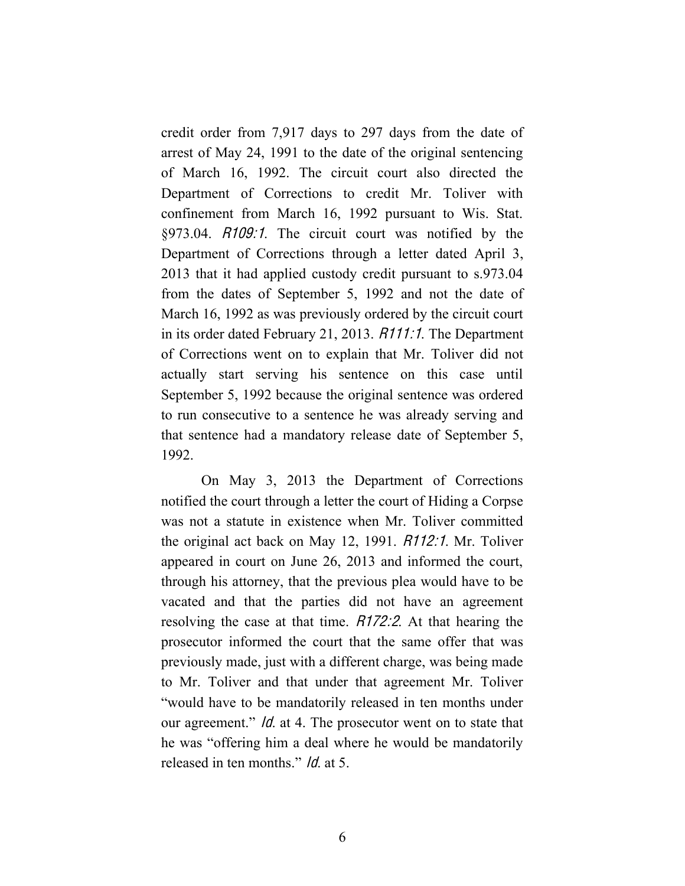credit order from 7,917 days to 297 days from the date of arrest of May 24, 1991 to the date of the original sentencing of March 16, 1992. The circuit court also directed the Department of Corrections to credit Mr. Toliver with confinement from March 16, 1992 pursuant to Wis. Stat. §973.04. R109:1. The circuit court was notified by the Department of Corrections through a letter dated April 3, 2013 that it had applied custody credit pursuant to s.973.04 from the dates of September 5, 1992 and not the date of March 16, 1992 as was previously ordered by the circuit court in its order dated February 21, 2013. R111:1. The Department of Corrections went on to explain that Mr. Toliver did not actually start serving his sentence on this case until September 5, 1992 because the original sentence was ordered to run consecutive to a sentence he was already serving and that sentence had a mandatory release date of September 5, 1992.

On May 3, 2013 the Department of Corrections notified the court through a letter the court of Hiding a Corpse was not a statute in existence when Mr. Toliver committed the original act back on May 12, 1991. R112:1. Mr. Toliver appeared in court on June 26, 2013 and informed the court, through his attorney, that the previous plea would have to be vacated and that the parties did not have an agreement resolving the case at that time. R172:2. At that hearing the prosecutor informed the court that the same offer that was previously made, just with a different charge, was being made to Mr. Toliver and that under that agreement Mr. Toliver "would have to be mandatorily released in ten months under our agreement." *Id.* at 4. The prosecutor went on to state that he was "offering him a deal where he would be mandatorily released in ten months." Id. at 5.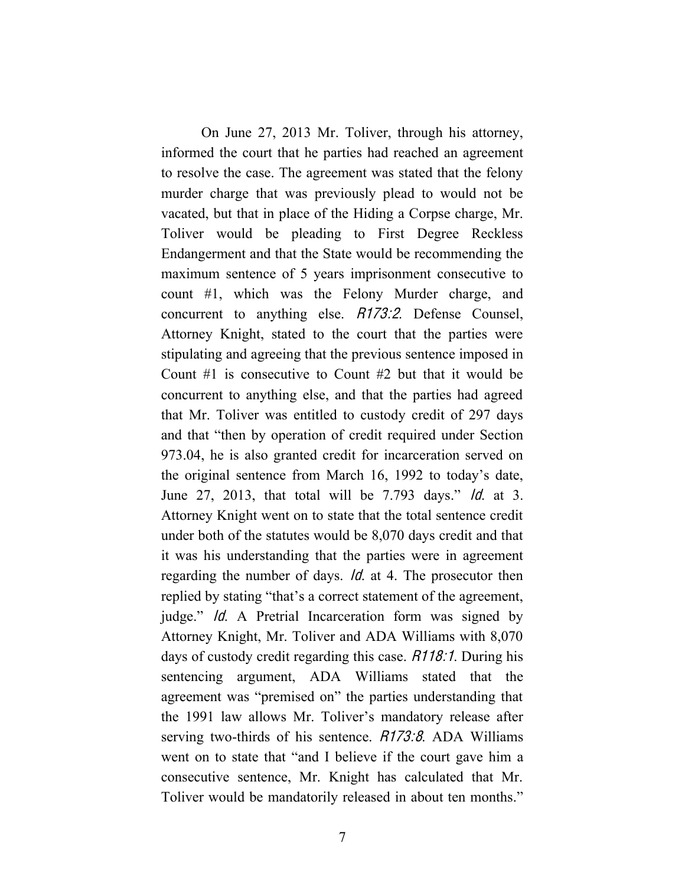On June 27, 2013 Mr. Toliver, through his attorney, informed the court that he parties had reached an agreement to resolve the case. The agreement was stated that the felony murder charge that was previously plead to would not be vacated, but that in place of the Hiding a Corpse charge, Mr. Toliver would be pleading to First Degree Reckless Endangerment and that the State would be recommending the maximum sentence of 5 years imprisonment consecutive to count #1, which was the Felony Murder charge, and concurrent to anything else. R173:2. Defense Counsel, Attorney Knight, stated to the court that the parties were stipulating and agreeing that the previous sentence imposed in Count #1 is consecutive to Count #2 but that it would be concurrent to anything else, and that the parties had agreed that Mr. Toliver was entitled to custody credit of 297 days and that "then by operation of credit required under Section 973.04, he is also granted credit for incarceration served on the original sentence from March 16, 1992 to today's date, June 27, 2013, that total will be 7.793 days." Id. at 3. Attorney Knight went on to state that the total sentence credit under both of the statutes would be 8,070 days credit and that it was his understanding that the parties were in agreement regarding the number of days. Id. at 4. The prosecutor then replied by stating "that's a correct statement of the agreement, judge." Id. A Pretrial Incarceration form was signed by Attorney Knight, Mr. Toliver and ADA Williams with 8,070 days of custody credit regarding this case. R118:1. During his sentencing argument, ADA Williams stated that the agreement was "premised on" the parties understanding that the 1991 law allows Mr. Toliver's mandatory release after serving two-thirds of his sentence. R173:8. ADA Williams went on to state that "and I believe if the court gave him a consecutive sentence, Mr. Knight has calculated that Mr. Toliver would be mandatorily released in about ten months."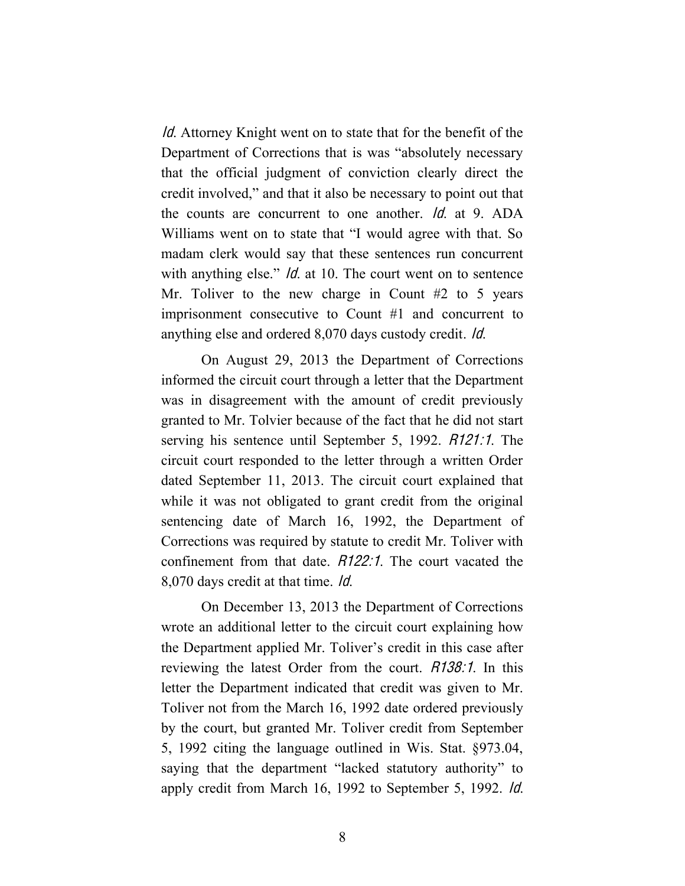Id. Attorney Knight went on to state that for the benefit of the Department of Corrections that is was "absolutely necessary that the official judgment of conviction clearly direct the credit involved," and that it also be necessary to point out that the counts are concurrent to one another. Id. at 9. ADA Williams went on to state that "I would agree with that. So madam clerk would say that these sentences run concurrent with anything else." *Id.* at 10. The court went on to sentence Mr. Toliver to the new charge in Count  $#2$  to 5 years imprisonment consecutive to Count #1 and concurrent to anything else and ordered 8,070 days custody credit. Id.

On August 29, 2013 the Department of Corrections informed the circuit court through a letter that the Department was in disagreement with the amount of credit previously granted to Mr. Tolvier because of the fact that he did not start serving his sentence until September 5, 1992. R121:1. The circuit court responded to the letter through a written Order dated September 11, 2013. The circuit court explained that while it was not obligated to grant credit from the original sentencing date of March 16, 1992, the Department of Corrections was required by statute to credit Mr. Toliver with confinement from that date. R122:1. The court vacated the 8,070 days credit at that time. Id.

On December 13, 2013 the Department of Corrections wrote an additional letter to the circuit court explaining how the Department applied Mr. Toliver's credit in this case after reviewing the latest Order from the court. *R138:1*. In this letter the Department indicated that credit was given to Mr. Toliver not from the March 16, 1992 date ordered previously by the court, but granted Mr. Toliver credit from September 5, 1992 citing the language outlined in Wis. Stat. §973.04, saying that the department "lacked statutory authority" to apply credit from March 16, 1992 to September 5, 1992. Id.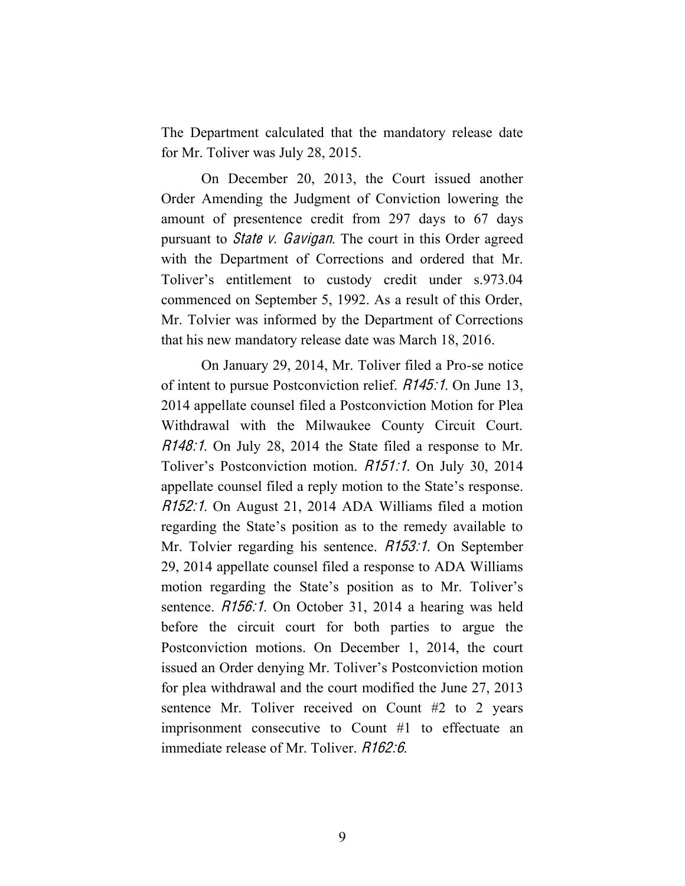The Department calculated that the mandatory release date for Mr. Toliver was July 28, 2015.

On December 20, 2013, the Court issued another Order Amending the Judgment of Conviction lowering the amount of presentence credit from 297 days to 67 days pursuant to *State v. Gavigan*. The court in this Order agreed with the Department of Corrections and ordered that Mr. Toliver's entitlement to custody credit under s.973.04 commenced on September 5, 1992. As a result of this Order, Mr. Tolvier was informed by the Department of Corrections that his new mandatory release date was March 18, 2016.

On January 29, 2014, Mr. Toliver filed a Pro-se notice of intent to pursue Postconviction relief. R145:1. On June 13, 2014 appellate counsel filed a Postconviction Motion for Plea Withdrawal with the Milwaukee County Circuit Court. R148:1. On July 28, 2014 the State filed a response to Mr. Toliver's Postconviction motion. R151:1. On July 30, 2014 appellate counsel filed a reply motion to the State's response. R152:1. On August 21, 2014 ADA Williams filed a motion regarding the State's position as to the remedy available to Mr. Tolvier regarding his sentence. *R153:1*. On September 29, 2014 appellate counsel filed a response to ADA Williams motion regarding the State's position as to Mr. Toliver's sentence. *R156:1*. On October 31, 2014 a hearing was held before the circuit court for both parties to argue the Postconviction motions. On December 1, 2014, the court issued an Order denying Mr. Toliver's Postconviction motion for plea withdrawal and the court modified the June 27, 2013 sentence Mr. Toliver received on Count #2 to 2 years imprisonment consecutive to Count #1 to effectuate an immediate release of Mr. Toliver. R162:6.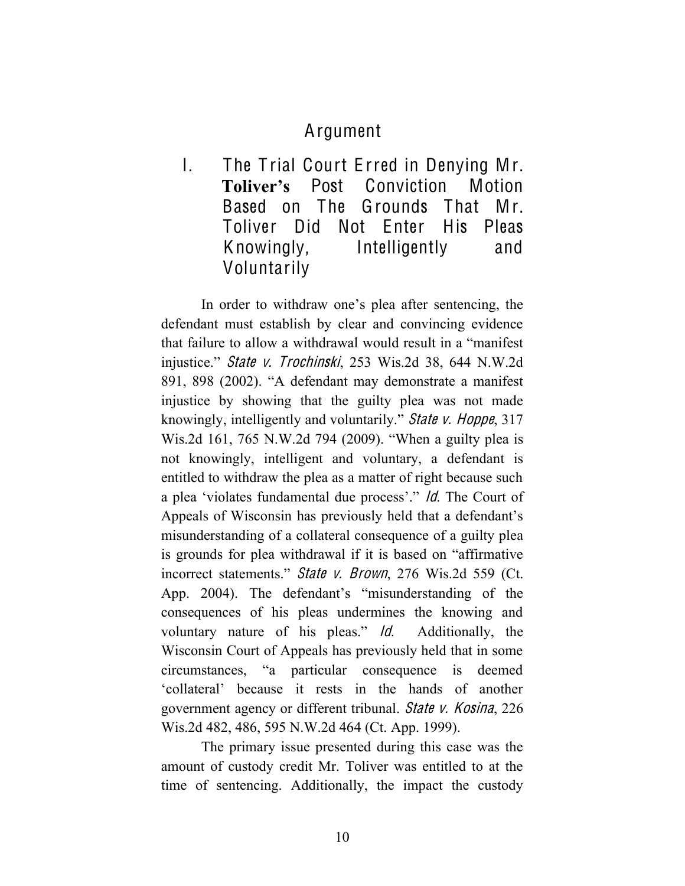## Argument

I. The T rial Court E rred in Denying Mr. **Toliver's** Post Conviction Motion Based on The Grounds That Mr. Toliver Did Not Enter His Pleas Knowingly, Intelligently and Voluntarily

In order to withdraw one's plea after sentencing, the defendant must establish by clear and convincing evidence that failure to allow a withdrawal would result in a "manifest injustice." Stat<sup>e</sup> <sup>v</sup>. Trochinski, 253 Wis.2d 38, 644 N.W.2d 891, 898 (2002). "A defendant may demonstrate a manifest injustice by showing that the guilty plea was not made knowingly, intelligently and voluntarily." State v. Hoppe, 317 Wis.2d 161, 765 N.W.2d 794 (2009). "When a guilty plea is not knowingly, intelligent and voluntary, a defendant is entitled to withdraw the plea as a matter of right because such a plea 'violates fundamental due process'." Id. The Court of Appeals of Wisconsin has previously held that a defendant's misunderstanding of a collateral consequence of a guilty plea is grounds for plea withdrawal if it is based on "affirmative incorrect statements." State v. Brown, 276 Wis.2d 559 (Ct. App. 2004). The defendant's "misunderstanding of the consequences of his pleas undermines the knowing and voluntary nature of his pleas." Id. Additionally, the Wisconsin Court of Appeals has previously held that in some circumstances, "a particular consequence is deemed 'collateral' because it rests in the hands of another government agency or different tribunal. Stat<sup>e</sup> <sup>v</sup>. Kosina, 226 Wis.2d 482, 486, 595 N.W.2d 464 (Ct. App. 1999).

The primary issue presented during this case was the amount of custody credit Mr. Toliver was entitled to at the time of sentencing. Additionally, the impact the custody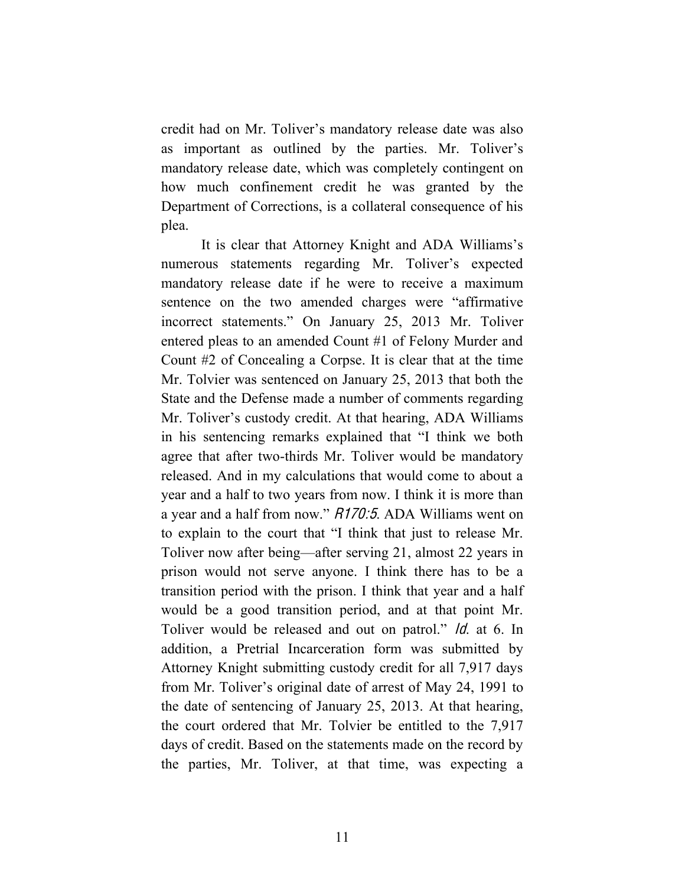credit had on Mr. Toliver's mandatory release date was also as important as outlined by the parties. Mr. Toliver's mandatory release date, which was completely contingent on how much confinement credit he was granted by the Department of Corrections, is a collateral consequence of his plea.

It is clear that Attorney Knight and ADA Williams's numerous statements regarding Mr. Toliver's expected mandatory release date if he were to receive a maximum sentence on the two amended charges were "affirmative incorrect statements." On January 25, 2013 Mr. Toliver entered pleas to an amended Count #1 of Felony Murder and Count #2 of Concealing a Corpse. It is clear that at the time Mr. Tolvier was sentenced on January 25, 2013 that both the State and the Defense made a number of comments regarding Mr. Toliver's custody credit. At that hearing, ADA Williams in his sentencing remarks explained that "I think we both agree that after two-thirds Mr. Toliver would be mandatory released. And in my calculations that would come to about a year and a half to two years from now. I think it is more than a year and a half from now." R170:5. ADA Williams went on to explain to the court that "I think that just to release Mr. Toliver now after being—after serving 21, almost 22 years in prison would not serve anyone. I think there has to be a transition period with the prison. I think that year and a half would be a good transition period, and at that point Mr. Toliver would be released and out on patrol." *ld.* at 6. In addition, a Pretrial Incarceration form was submitted by Attorney Knight submitting custody credit for all 7,917 days from Mr. Toliver's original date of arrest of May 24, 1991 to the date of sentencing of January 25, 2013. At that hearing, the court ordered that Mr. Tolvier be entitled to the 7,917 days of credit. Based on the statements made on the record by the parties, Mr. Toliver, at that time, was expecting a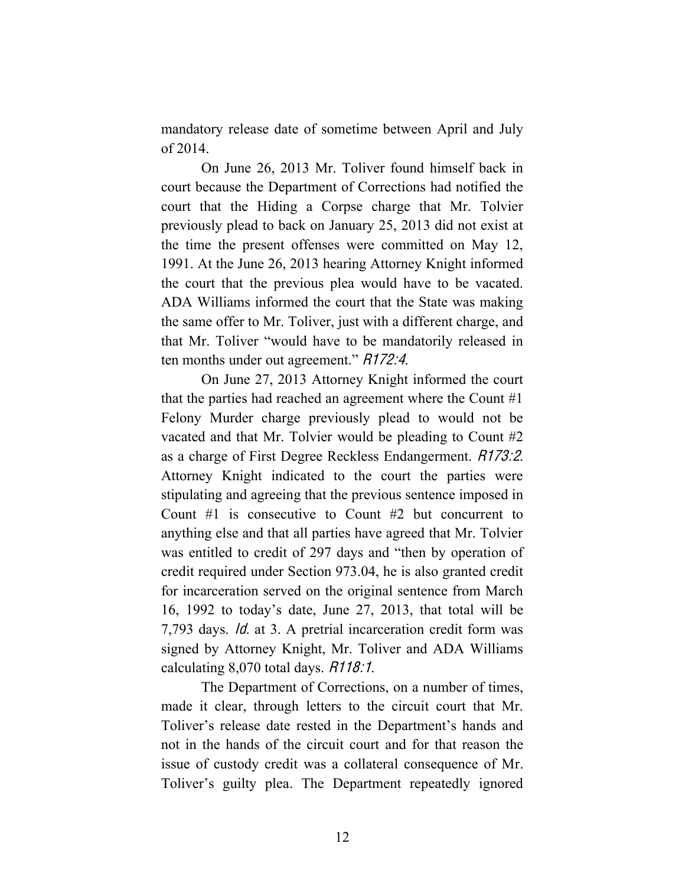mandatory release date of sometime between April and July of 2014.

On June 26, 2013 Mr. Toliver found himself back in court because the Department of Corrections had notified the court that the Hiding a Corpse charge that Mr. Tolvier previously plead to back on January 25, 2013 did not exist at the time the present offenses were committed on May 12, 1991. At the June 26, 2013 hearing Attorney Knight informed the court that the previous plea would have to be vacated. ADA Williams informed the court that the State was making the same offer to Mr. Toliver, just with a different charge, and that Mr. Toliver "would have to be mandatorily released in ten months under out agreement." R172:4.

On June 27, 2013 Attorney Knight informed the court that the parties had reached an agreement where the Count #1 Felony Murder charge previously plead to would not be vacated and that Mr. Tolvier would be pleading to Count #2 as a charge of First Degree Reckless Endangerment. R173:2. Attorney Knight indicated to the court the parties were stipulating and agreeing that the previous sentence imposed in Count #1 is consecutive to Count #2 but concurrent to anything else and that all parties have agreed that Mr. Tolvier was entitled to credit of 297 days and "then by operation of credit required under Section 973.04, he is also granted credit for incarceration served on the original sentence from March 16, 1992 to today's date, June 27, 2013, that total will be 7,793 days. Id. at 3. A pretrial incarceration credit form was signed by Attorney Knight, Mr. Toliver and ADA Williams calculating 8,070 total days. R118:1.

The Department of Corrections, on a number of times, made it clear, through letters to the circuit court that Mr. Toliver's release date rested in the Department's hands and not in the hands of the circuit court and for that reason the issue of custody credit was a collateral consequence of Mr. Toliver's guilty plea. The Department repeatedly ignored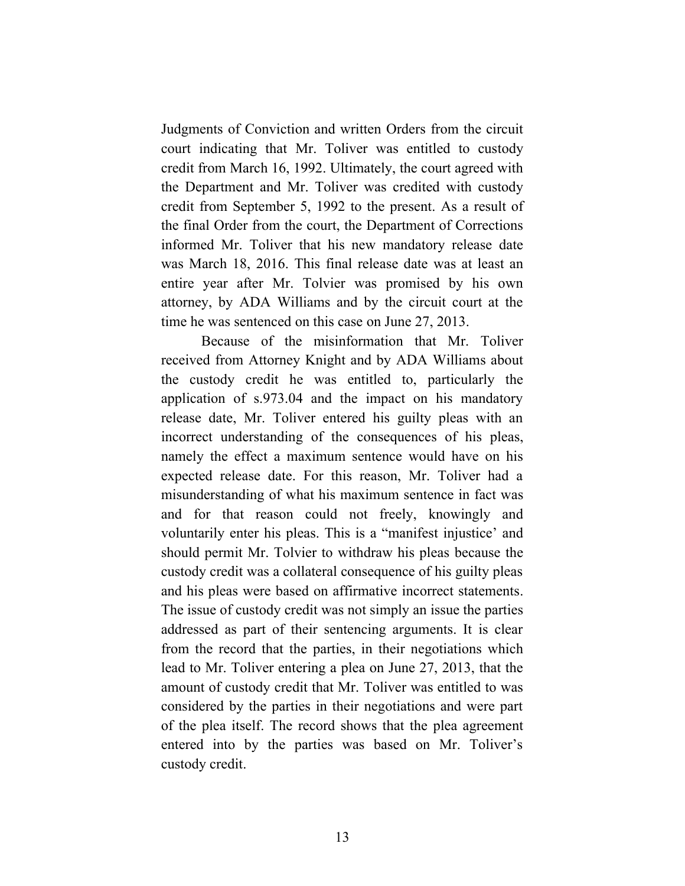Judgments of Conviction and written Orders from the circuit court indicating that Mr. Toliver was entitled to custody credit from March 16, 1992. Ultimately, the court agreed with the Department and Mr. Toliver was credited with custody credit from September 5, 1992 to the present. As a result of the final Order from the court, the Department of Corrections informed Mr. Toliver that his new mandatory release date was March 18, 2016. This final release date was at least an entire year after Mr. Tolvier was promised by his own attorney, by ADA Williams and by the circuit court at the time he was sentenced on this case on June 27, 2013.

Because of the misinformation that Mr. Toliver received from Attorney Knight and by ADA Williams about the custody credit he was entitled to, particularly the application of s.973.04 and the impact on his mandatory release date, Mr. Toliver entered his guilty pleas with an incorrect understanding of the consequences of his pleas, namely the effect a maximum sentence would have on his expected release date. For this reason, Mr. Toliver had a misunderstanding of what his maximum sentence in fact was and for that reason could not freely, knowingly and voluntarily enter his pleas. This is a "manifest injustice' and should permit Mr. Tolvier to withdraw his pleas because the custody credit was a collateral consequence of his guilty pleas and his pleas were based on affirmative incorrect statements. The issue of custody credit was not simply an issue the parties addressed as part of their sentencing arguments. It is clear from the record that the parties, in their negotiations which lead to Mr. Toliver entering a plea on June 27, 2013, that the amount of custody credit that Mr. Toliver was entitled to was considered by the parties in their negotiations and were part of the plea itself. The record shows that the plea agreement entered into by the parties was based on Mr. Toliver's custody credit.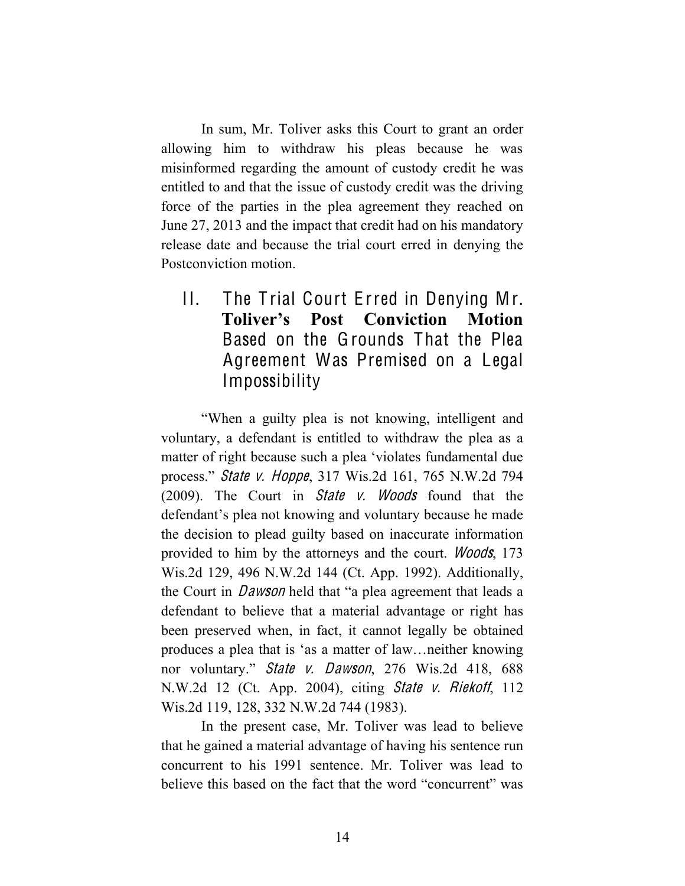In sum, Mr. Toliver asks this Court to grant an order allowing him to withdraw his pleas because he was misinformed regarding the amount of custody credit he was entitled to and that the issue of custody credit was the driving force of the parties in the plea agreement they reached on June 27, 2013 and the impact that credit had on his mandatory release date and because the trial court erred in denying the Postconviction motion.

II. The T rial Court E rred in Denying Mr. **Toliver's Post Conviction Motion**  Based on the Grounds That the Plea Agreement Was Premised on a Legal Impossibility

"When a guilty plea is not knowing, intelligent and voluntary, a defendant is entitled to withdraw the plea as a matter of right because such a plea 'violates fundamental due process." Stat<sup>e</sup> <sup>v</sup>. Hoppe, 317 Wis.2d 161, 765 N.W.2d 794 (2009). The Court in Stat<sup>e</sup> <sup>v</sup>. Wood<sup>s</sup> found that the defendant's plea not knowing and voluntary because he made the decision to plead guilty based on inaccurate information provided to him by the attorneys and the court. Woods, 173 Wis.2d 129, 496 N.W.2d 144 (Ct. App. 1992). Additionally, the Court in Dawson held that "a plea agreement that leads a defendant to believe that a material advantage or right has been preserved when, in fact, it cannot legally be obtained produces a plea that is 'as a matter of law…neither knowing nor voluntary." Stat<sup>e</sup> <sup>v</sup>. Dawson, 276 Wis.2d 418, 688 N.W.2d 12 (Ct. App. 2004), citing Stat<sup>e</sup> <sup>v</sup>. Riekoff, 112 Wis.2d 119, 128, 332 N.W.2d 744 (1983).

In the present case, Mr. Toliver was lead to believe that he gained a material advantage of having his sentence run concurrent to his 1991 sentence. Mr. Toliver was lead to believe this based on the fact that the word "concurrent" was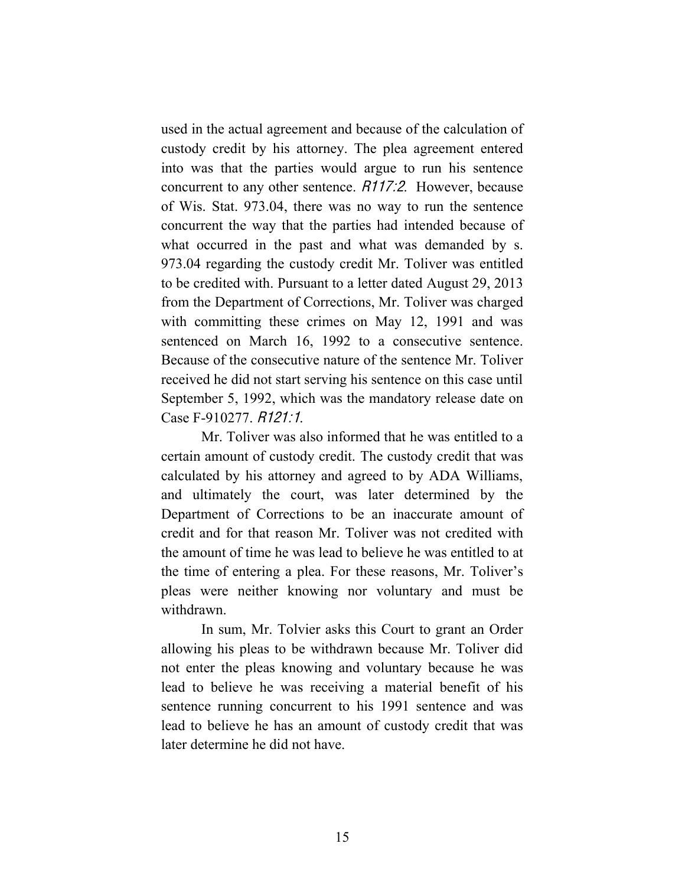used in the actual agreement and because of the calculation of custody credit by his attorney. The plea agreement entered into was that the parties would argue to run his sentence concurrent to any other sentence. R117:2. However, because of Wis. Stat. 973.04, there was no way to run the sentence concurrent the way that the parties had intended because of what occurred in the past and what was demanded by s. 973.04 regarding the custody credit Mr. Toliver was entitled to be credited with. Pursuant to a letter dated August 29, 2013 from the Department of Corrections, Mr. Toliver was charged with committing these crimes on May 12, 1991 and was sentenced on March 16, 1992 to a consecutive sentence. Because of the consecutive nature of the sentence Mr. Toliver received he did not start serving his sentence on this case until September 5, 1992, which was the mandatory release date on Case F-910277. R121:1.

Mr. Toliver was also informed that he was entitled to a certain amount of custody credit. The custody credit that was calculated by his attorney and agreed to by ADA Williams, and ultimately the court, was later determined by the Department of Corrections to be an inaccurate amount of credit and for that reason Mr. Toliver was not credited with the amount of time he was lead to believe he was entitled to at the time of entering a plea. For these reasons, Mr. Toliver's pleas were neither knowing nor voluntary and must be withdrawn.

In sum, Mr. Tolvier asks this Court to grant an Order allowing his pleas to be withdrawn because Mr. Toliver did not enter the pleas knowing and voluntary because he was lead to believe he was receiving a material benefit of his sentence running concurrent to his 1991 sentence and was lead to believe he has an amount of custody credit that was later determine he did not have.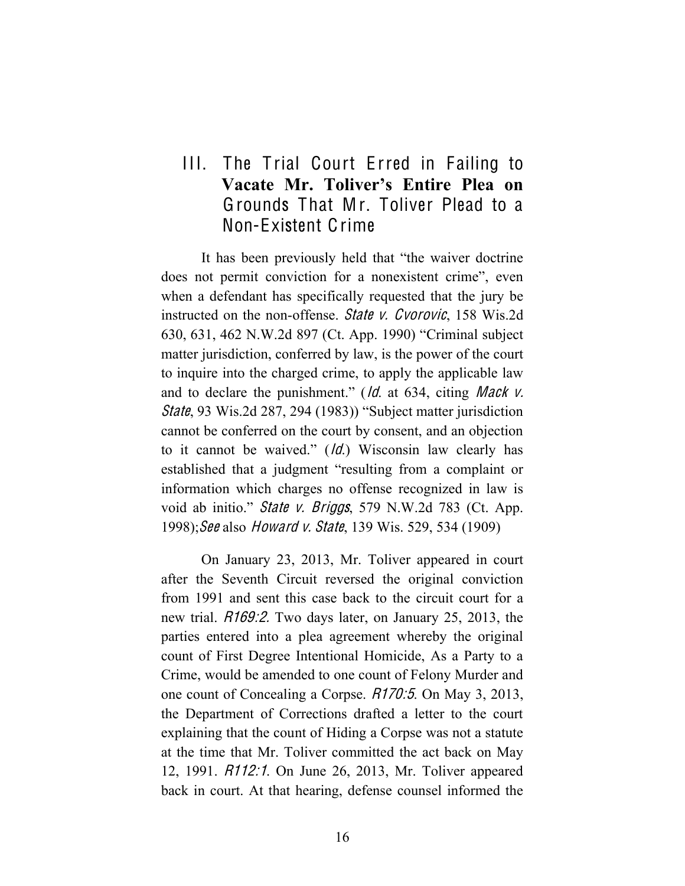## III. The Trial Court Erred in Failing to **Vacate Mr. Toliver's Entire Plea on**  Grounds That Mr. Toliver Plead to a Non-Existent Crime

It has been previously held that "the waiver doctrine does not permit conviction for a nonexistent crime", even when a defendant has specifically requested that the jury be instructed on the non-offense. State v. Cvorovic, 158 Wis.2d 630, 631, 462 N.W.2d 897 (Ct. App. 1990) "Criminal subject matter jurisdiction, conferred by law, is the power of the court to inquire into the charged crime, to apply the applicable law and to declare the punishment."  $\frac{Id}{d}$  at 634, citing *Mack v*. State, 93 Wis.2d 287, 294 (1983)) "Subject matter jurisdiction cannot be conferred on the court by consent, and an objection to it cannot be waived."  $(d)$  Wisconsin law clearly has established that a judgment "resulting from a complaint or information which charges no offense recognized in law is void ab initio." *State v. Briggs*, 579 N.W.2d 783 (Ct. App. 1998); See also *Howard v. State*, 139 Wis. 529, 534 (1909)

On January 23, 2013, Mr. Toliver appeared in court after the Seventh Circuit reversed the original conviction from 1991 and sent this case back to the circuit court for a new trial. R169:2. Two days later, on January 25, 2013, the parties entered into a plea agreement whereby the original count of First Degree Intentional Homicide, As a Party to a Crime, would be amended to one count of Felony Murder and one count of Concealing a Corpse. R170:5. On May 3, 2013, the Department of Corrections drafted a letter to the court explaining that the count of Hiding a Corpse was not a statute at the time that Mr. Toliver committed the act back on May 12, 1991. R112:1. On June 26, 2013, Mr. Toliver appeared back in court. At that hearing, defense counsel informed the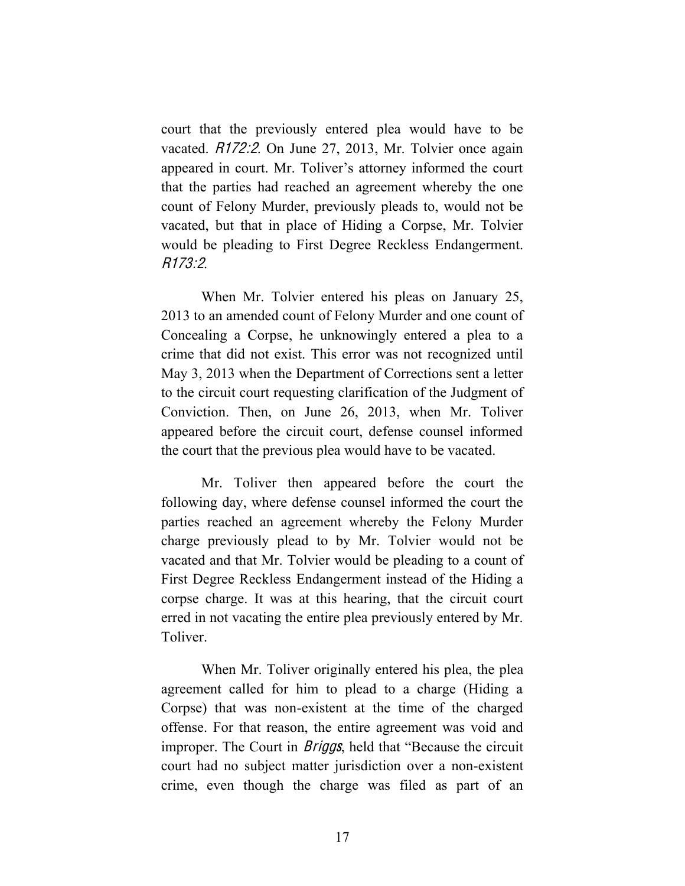court that the previously entered plea would have to be vacated. R172:2. On June 27, 2013, Mr. Tolvier once again appeared in court. Mr. Toliver's attorney informed the court that the parties had reached an agreement whereby the one count of Felony Murder, previously pleads to, would not be vacated, but that in place of Hiding a Corpse, Mr. Tolvier would be pleading to First Degree Reckless Endangerment. R173:2.

When Mr. Tolvier entered his pleas on January 25, 2013 to an amended count of Felony Murder and one count of Concealing a Corpse, he unknowingly entered a plea to a crime that did not exist. This error was not recognized until May 3, 2013 when the Department of Corrections sent a letter to the circuit court requesting clarification of the Judgment of Conviction. Then, on June 26, 2013, when Mr. Toliver appeared before the circuit court, defense counsel informed the court that the previous plea would have to be vacated.

Mr. Toliver then appeared before the court the following day, where defense counsel informed the court the parties reached an agreement whereby the Felony Murder charge previously plead to by Mr. Tolvier would not be vacated and that Mr. Tolvier would be pleading to a count of First Degree Reckless Endangerment instead of the Hiding a corpse charge. It was at this hearing, that the circuit court erred in not vacating the entire plea previously entered by Mr. Toliver.

When Mr. Toliver originally entered his plea, the plea agreement called for him to plead to a charge (Hiding a Corpse) that was non-existent at the time of the charged offense. For that reason, the entire agreement was void and improper. The Court in *Briggs*, held that "Because the circuit court had no subject matter jurisdiction over a non-existent crime, even though the charge was filed as part of an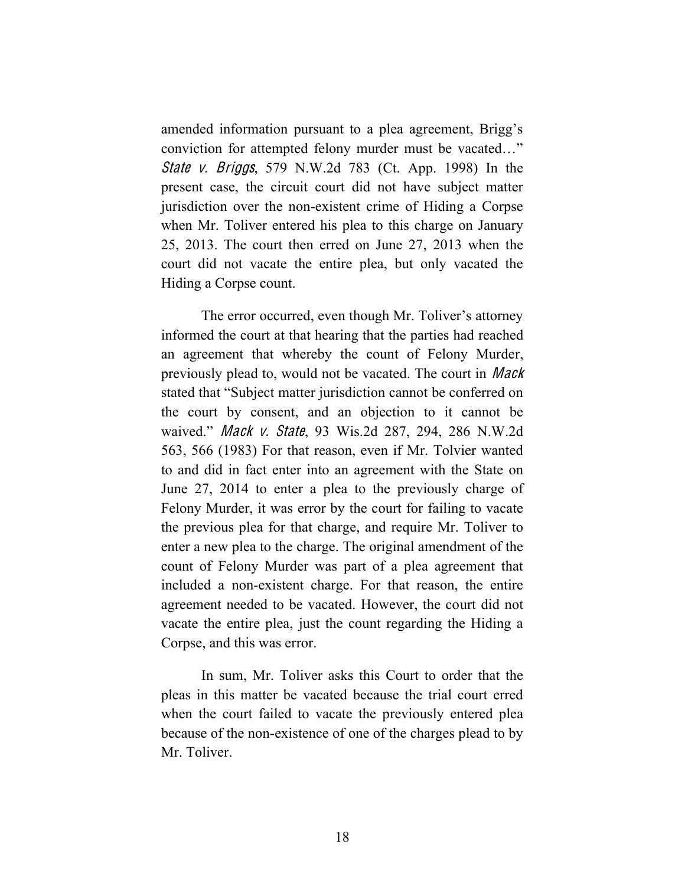amended information pursuant to a plea agreement, Brigg's conviction for attempted felony murder must be vacated…" Stat<sup>e</sup> <sup>v</sup>. Briggs, 579 N.W.2d 783 (Ct. App. 1998) In the present case, the circuit court did not have subject matter jurisdiction over the non-existent crime of Hiding a Corpse when Mr. Toliver entered his plea to this charge on January 25, 2013. The court then erred on June 27, 2013 when the court did not vacate the entire plea, but only vacated the Hiding a Corpse count.

The error occurred, even though Mr. Toliver's attorney informed the court at that hearing that the parties had reached an agreement that whereby the count of Felony Murder, previously plead to, would not be vacated. The court in Mack stated that "Subject matter jurisdiction cannot be conferred on the court by consent, and an objection to it cannot be waived." Mack <sup>v</sup>. State, 93 Wis.2d 287, 294, 286 N.W.2d 563, 566 (1983) For that reason, even if Mr. Tolvier wanted to and did in fact enter into an agreement with the State on June 27, 2014 to enter a plea to the previously charge of Felony Murder, it was error by the court for failing to vacate the previous plea for that charge, and require Mr. Toliver to enter a new plea to the charge. The original amendment of the count of Felony Murder was part of a plea agreement that included a non-existent charge. For that reason, the entire agreement needed to be vacated. However, the court did not vacate the entire plea, just the count regarding the Hiding a Corpse, and this was error.

In sum, Mr. Toliver asks this Court to order that the pleas in this matter be vacated because the trial court erred when the court failed to vacate the previously entered plea because of the non-existence of one of the charges plead to by Mr. Toliver.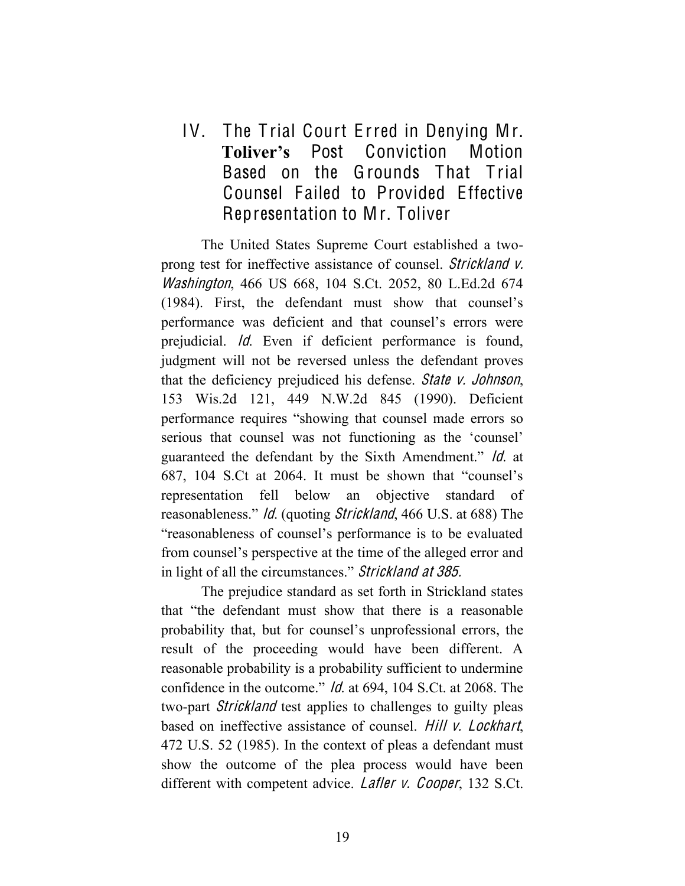IV. The T rial Court E rred in Denying Mr. **Toliver's** Post Conviction Motion Based on the Grounds That Trial Counsel Failed to Provided Effective Representation to Mr. Toliver

The United States Supreme Court established a twoprong test for ineffective assistance of counsel. Strickland <sup>v</sup>. Washington, 466 US 668, 104 S.Ct. 2052, 80 L.Ed.2d 674 (1984). First, the defendant must show that counsel's performance was deficient and that counsel's errors were prejudicial. Id. Even if deficient performance is found, judgment will not be reversed unless the defendant proves that the deficiency prejudiced his defense. Stat<sup>e</sup> <sup>v</sup>. Johnson, 153 Wis.2d 121, 449 N.W.2d 845 (1990). Deficient performance requires "showing that counsel made errors so serious that counsel was not functioning as the 'counsel' guaranteed the defendant by the Sixth Amendment." Id. at 687, 104 S.Ct at 2064. It must be shown that "counsel's representation fell below an objective standard of reasonableness." Id. (quoting Strickland, 466 U.S. at 688) The "reasonableness of counsel's performance is to be evaluated from counsel's perspective at the time of the alleged error and in light of all the circumstances." Strickland <sup>a</sup><sup>t</sup> 385.

The prejudice standard as set forth in Strickland states that "the defendant must show that there is a reasonable probability that, but for counsel's unprofessional errors, the result of the proceeding would have been different. A reasonable probability is a probability sufficient to undermine confidence in the outcome." Id. at 694, 104 S.Ct. at 2068. The two-part *Strickland* test applies to challenges to guilty pleas based on ineffective assistance of counsel. Hill <sup>v</sup>. Lockhart, 472 U.S. 52 (1985). In the context of pleas a defendant must show the outcome of the plea process would have been different with competent advice. *Lafler v. Cooper*, 132 S.Ct.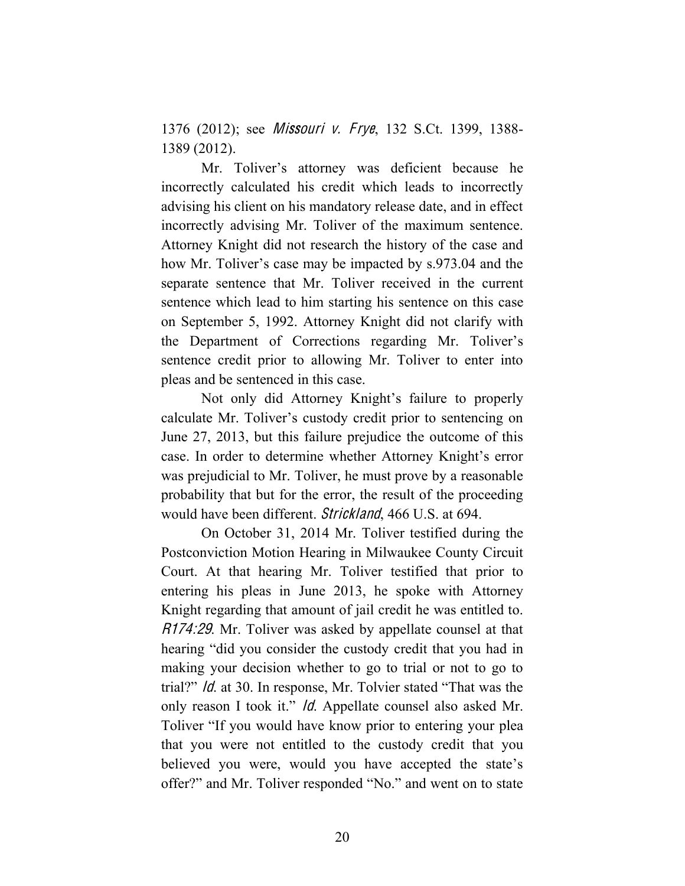1376 (2012); see *Missouri v. Frye*, 132 S.Ct. 1399, 1388-1389 (2012).

Mr. Toliver's attorney was deficient because he incorrectly calculated his credit which leads to incorrectly advising his client on his mandatory release date, and in effect incorrectly advising Mr. Toliver of the maximum sentence. Attorney Knight did not research the history of the case and how Mr. Toliver's case may be impacted by s.973.04 and the separate sentence that Mr. Toliver received in the current sentence which lead to him starting his sentence on this case on September 5, 1992. Attorney Knight did not clarify with the Department of Corrections regarding Mr. Toliver's sentence credit prior to allowing Mr. Toliver to enter into pleas and be sentenced in this case.

Not only did Attorney Knight's failure to properly calculate Mr. Toliver's custody credit prior to sentencing on June 27, 2013, but this failure prejudice the outcome of this case. In order to determine whether Attorney Knight's error was prejudicial to Mr. Toliver, he must prove by a reasonable probability that but for the error, the result of the proceeding would have been different. Strickland, 466 U.S. at 694.

On October 31, 2014 Mr. Toliver testified during the Postconviction Motion Hearing in Milwaukee County Circuit Court. At that hearing Mr. Toliver testified that prior to entering his pleas in June 2013, he spoke with Attorney Knight regarding that amount of jail credit he was entitled to. R174:29. Mr. Toliver was asked by appellate counsel at that hearing "did you consider the custody credit that you had in making your decision whether to go to trial or not to go to trial?" Id. at 30. In response, Mr. Tolvier stated "That was the only reason I took it." *Id*. Appellate counsel also asked Mr. Toliver "If you would have know prior to entering your plea that you were not entitled to the custody credit that you believed you were, would you have accepted the state's offer?" and Mr. Toliver responded "No." and went on to state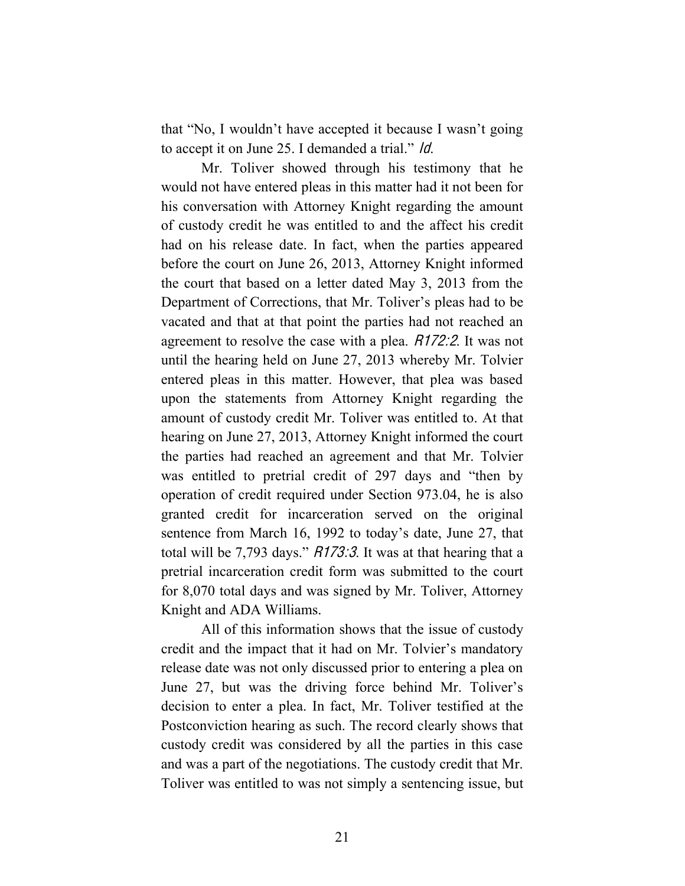that "No, I wouldn't have accepted it because I wasn't going to accept it on June 25. I demanded a trial." Id.

Mr. Toliver showed through his testimony that he would not have entered pleas in this matter had it not been for his conversation with Attorney Knight regarding the amount of custody credit he was entitled to and the affect his credit had on his release date. In fact, when the parties appeared before the court on June 26, 2013, Attorney Knight informed the court that based on a letter dated May 3, 2013 from the Department of Corrections, that Mr. Toliver's pleas had to be vacated and that at that point the parties had not reached an agreement to resolve the case with a plea. R172:2. It was not until the hearing held on June 27, 2013 whereby Mr. Tolvier entered pleas in this matter. However, that plea was based upon the statements from Attorney Knight regarding the amount of custody credit Mr. Toliver was entitled to. At that hearing on June 27, 2013, Attorney Knight informed the court the parties had reached an agreement and that Mr. Tolvier was entitled to pretrial credit of 297 days and "then by operation of credit required under Section 973.04, he is also granted credit for incarceration served on the original sentence from March 16, 1992 to today's date, June 27, that total will be 7,793 days." R173:3. It was at that hearing that a pretrial incarceration credit form was submitted to the court for 8,070 total days and was signed by Mr. Toliver, Attorney Knight and ADA Williams.

All of this information shows that the issue of custody credit and the impact that it had on Mr. Tolvier's mandatory release date was not only discussed prior to entering a plea on June 27, but was the driving force behind Mr. Toliver's decision to enter a plea. In fact, Mr. Toliver testified at the Postconviction hearing as such. The record clearly shows that custody credit was considered by all the parties in this case and was a part of the negotiations. The custody credit that Mr. Toliver was entitled to was not simply a sentencing issue, but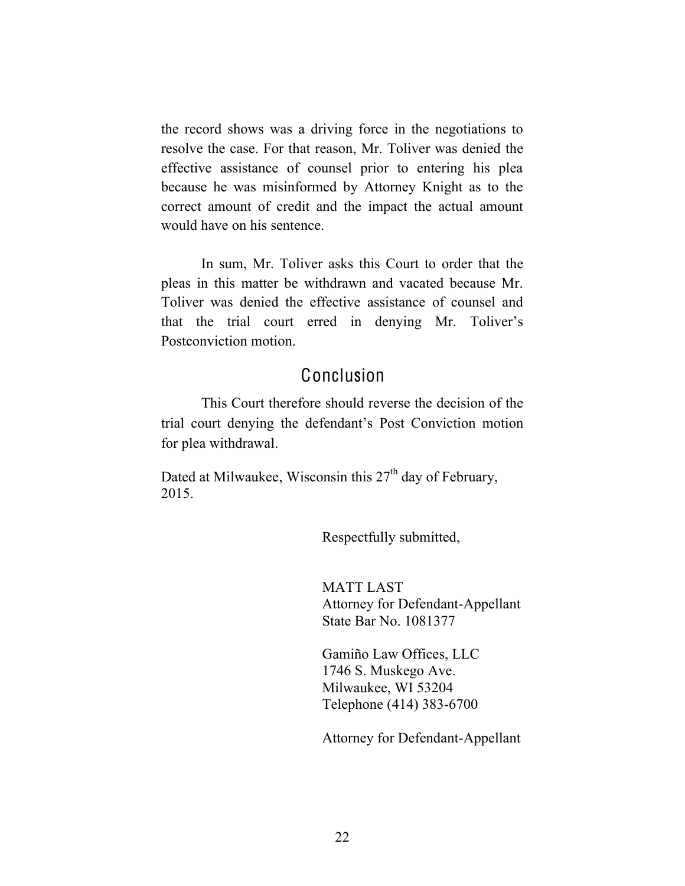the record shows was a driving force in the negotiations to resolve the case. For that reason, Mr. Toliver was denied the effective assistance of counsel prior to entering his plea because he was misinformed by Attorney Knight as to the correct amount of credit and the impact the actual amount would have on his sentence.

In sum, Mr. Toliver asks this Court to order that the pleas in this matter be withdrawn and vacated because Mr. Toliver was denied the effective assistance of counsel and that the trial court erred in denying Mr. Toliver's Postconviction motion.

### Conclusion

This Court therefore should reverse the decision of the trial court denying the defendant's Post Conviction motion for plea withdrawal.

Dated at Milwaukee, Wisconsin this  $27<sup>th</sup>$  day of February, 2015.

Respectfully submitted,

MATT LAST Attorney for Defendant-Appellant State Bar No. 1081377

Gamiño Law Offices, LLC 1746 S. Muskego Ave. Milwaukee, WI 53204 Telephone (414) 383-6700

Attorney for Defendant-Appellant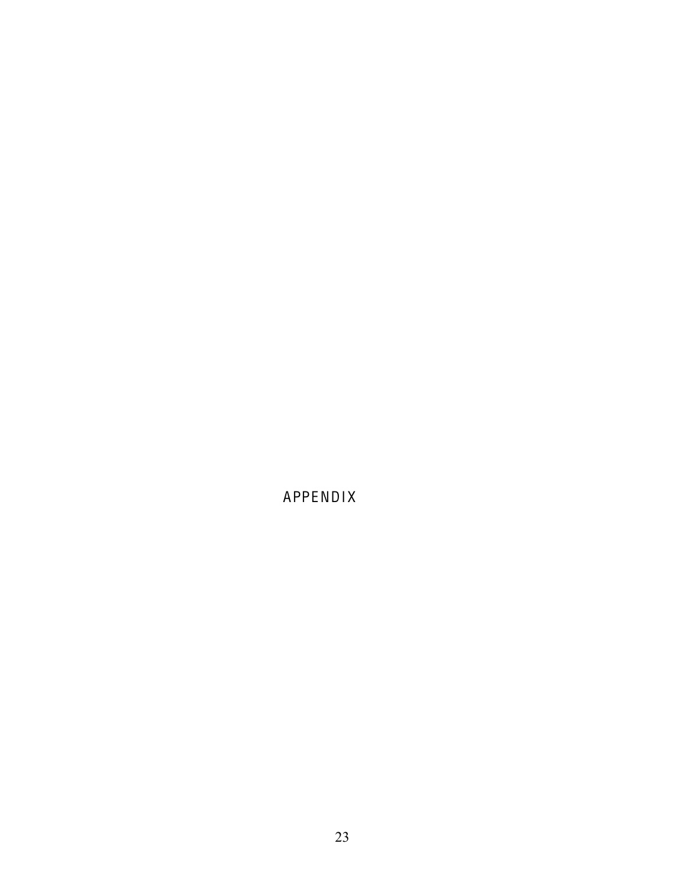APPENDIX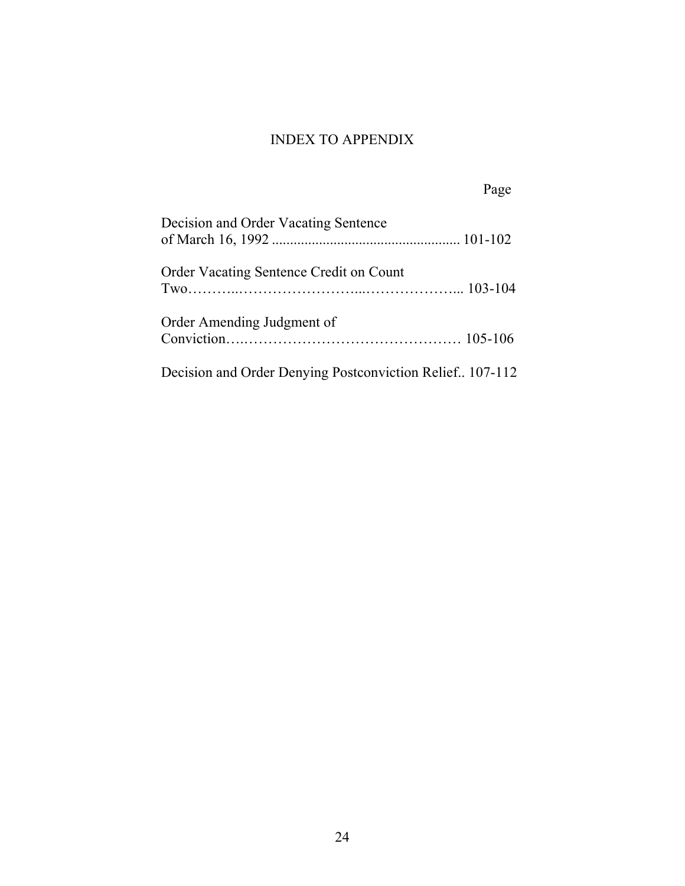### INDEX TO APPENDIX

Page

| Decision and Order Vacating Sentence                     |  |
|----------------------------------------------------------|--|
| Order Vacating Sentence Credit on Count                  |  |
| Order Amending Judgment of                               |  |
| Decision and Order Denying Postconviction Relief 107-112 |  |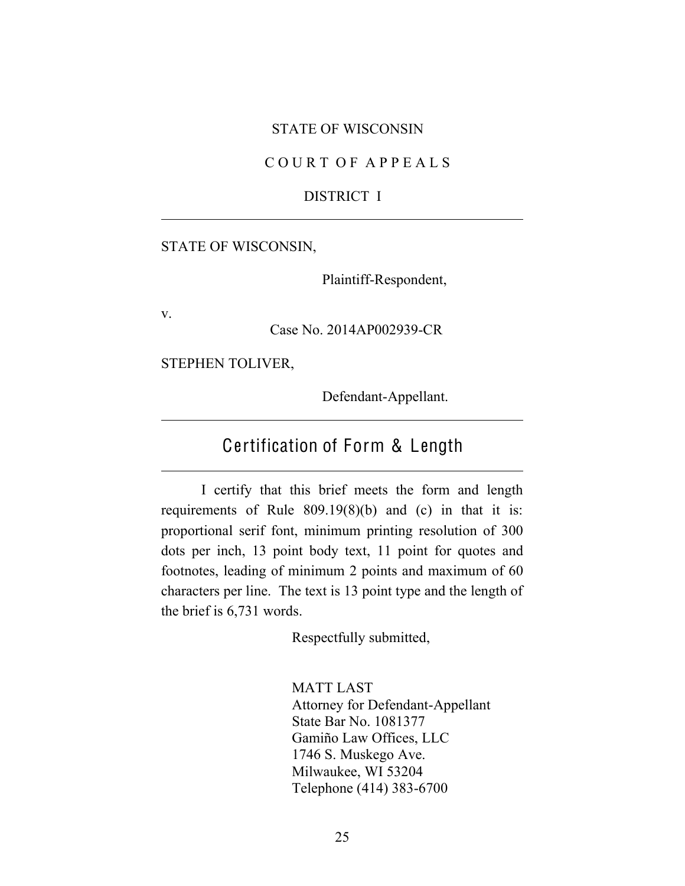#### STATE OF WISCONSIN

#### C O U R T O F A P P E A L S

#### DISTRICT I

#### STATE OF WISCONSIN,

Plaintiff-Respondent,

v.

Case No. 2014AP002939-CR

STEPHEN TOLIVER,

Defendant-Appellant.

# Certification of Form & Length

I certify that this brief meets the form and length requirements of Rule 809.19(8)(b) and (c) in that it is: proportional serif font, minimum printing resolution of 300 dots per inch, 13 point body text, 11 point for quotes and footnotes, leading of minimum 2 points and maximum of 60 characters per line. The text is 13 point type and the length of the brief is 6,731 words.

Respectfully submitted,

MATT LAST Attorney for Defendant-Appellant State Bar No. 1081377 Gamiño Law Offices, LLC 1746 S. Muskego Ave. Milwaukee, WI 53204 Telephone (414) 383-6700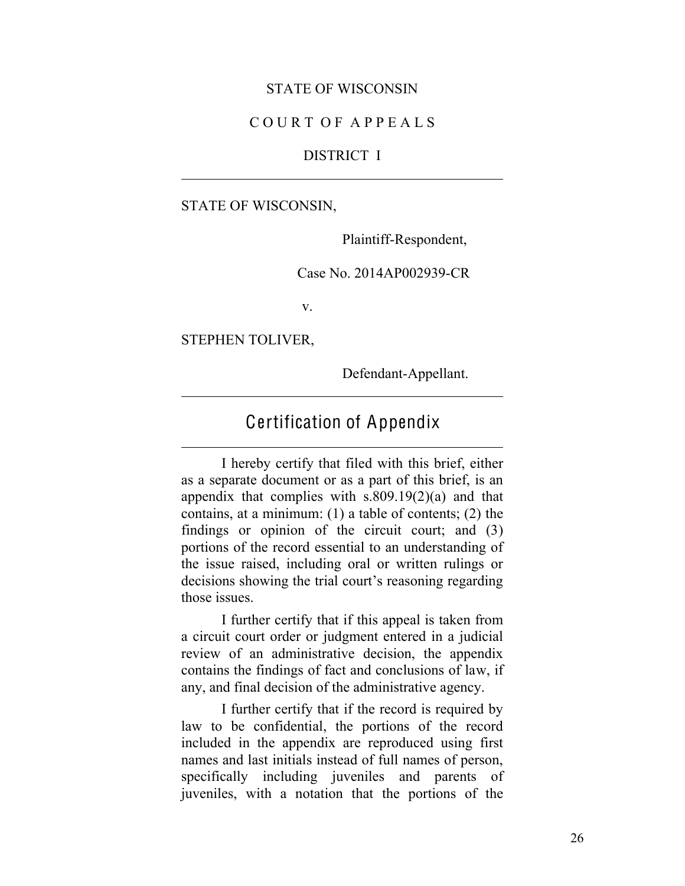#### STATE OF WISCONSIN

#### C O U R T O F A P P E A L S

#### DISTRICT I

STATE OF WISCONSIN,

Plaintiff-Respondent,

Case No. 2014AP002939-CR

v.

STEPHEN TOLIVER,

Defendant-Appellant.

## Certification of Appendix

I hereby certify that filed with this brief, either as a separate document or as a part of this brief, is an appendix that complies with  $s.809.19(2)(a)$  and that contains, at a minimum: (1) a table of contents; (2) the findings or opinion of the circuit court; and (3) portions of the record essential to an understanding of the issue raised, including oral or written rulings or decisions showing the trial court's reasoning regarding those issues.

I further certify that if this appeal is taken from a circuit court order or judgment entered in a judicial review of an administrative decision, the appendix contains the findings of fact and conclusions of law, if any, and final decision of the administrative agency.

I further certify that if the record is required by law to be confidential, the portions of the record included in the appendix are reproduced using first names and last initials instead of full names of person, specifically including juveniles and parents of juveniles, with a notation that the portions of the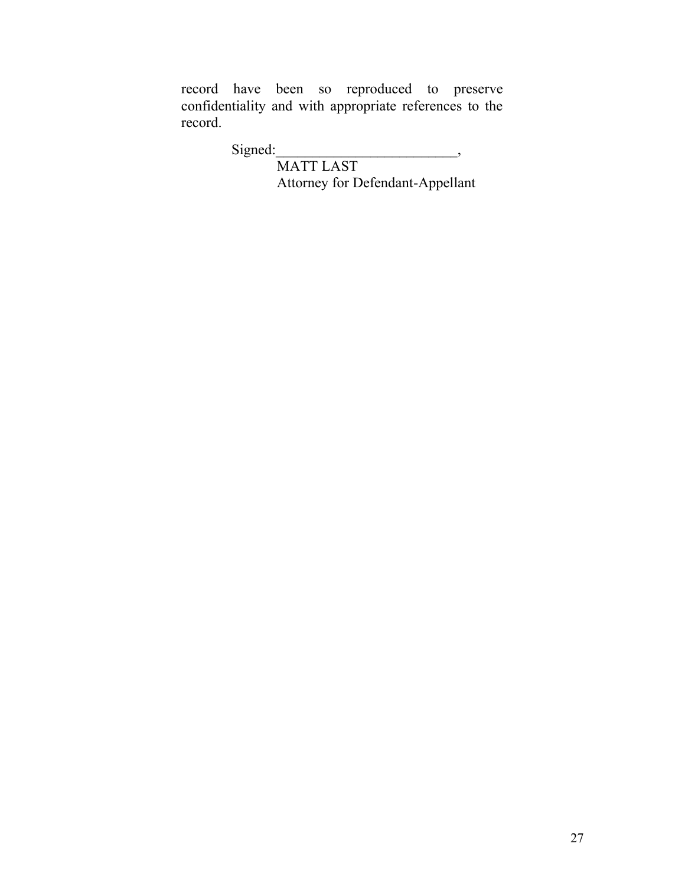record have been so reproduced to preserve confidentiality and with appropriate references to the record.

Signed:

MATT LAST Attorney for Defendant-Appellant